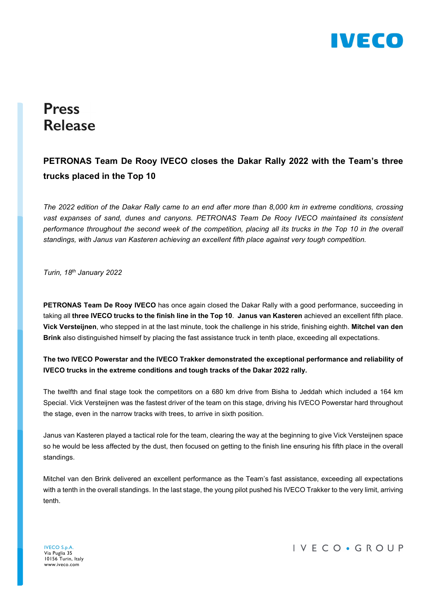

# **Press Release**

## PETRONAS Team De Rooy IVECO closes the Dakar Rally 2022 with the Team's three trucks placed in the Top 10

The 2022 edition of the Dakar Rally came to an end after more than 8,000 km in extreme conditions, crossing vast expanses of sand, dunes and canyons. PETRONAS Team De Rooy IVECO maintained its consistent performance throughout the second week of the competition, placing all its trucks in the Top 10 in the overall standings, with Janus van Kasteren achieving an excellent fifth place against very tough competition.

Turin, 18th January 2022

PETRONAS Team De Rooy IVECO has once again closed the Dakar Rally with a good performance, succeeding in taking all three IVECO trucks to the finish line in the Top 10. Janus van Kasteren achieved an excellent fifth place. Vick Versteijnen, who stepped in at the last minute, took the challenge in his stride, finishing eighth. Mitchel van den Brink also distinguished himself by placing the fast assistance truck in tenth place, exceeding all expectations.

#### The two IVECO Powerstar and the IVECO Trakker demonstrated the exceptional performance and reliability of IVECO trucks in the extreme conditions and tough tracks of the Dakar 2022 rally.

The twelfth and final stage took the competitors on a 680 km drive from Bisha to Jeddah which included a 164 km Special. Vick Versteijnen was the fastest driver of the team on this stage, driving his IVECO Powerstar hard throughout the stage, even in the narrow tracks with trees, to arrive in sixth position.

Janus van Kasteren played a tactical role for the team, clearing the way at the beginning to give Vick Versteijnen space so he would be less affected by the dust, then focused on getting to the finish line ensuring his fifth place in the overall standings.

Mitchel van den Brink delivered an excellent performance as the Team's fast assistance, exceeding all expectations with a tenth in the overall standings. In the last stage, the young pilot pushed his IVECO Trakker to the very limit, arriving tenth.

IVECO S.p.A. Via Puglia 35 10156 Turin, Italy www.iveco.com

IVECO · GROUP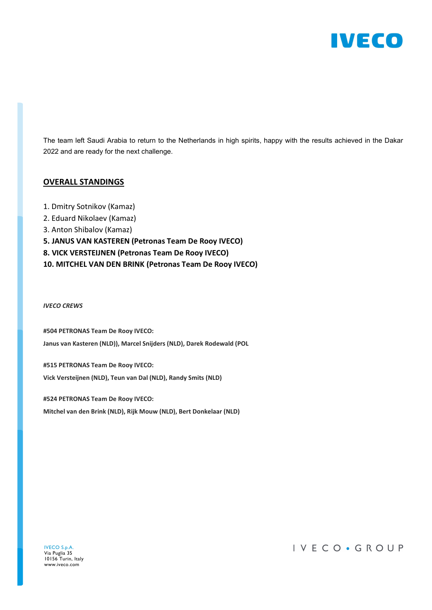

The team left Saudi Arabia to return to the Netherlands in high spirits, happy with the results achieved in the Dakar 2022 and are ready for the next challenge.

#### OVERALL STANDINGS

- 1. Dmitry Sotnikov (Kamaz)
- 2. Eduard Nikolaev (Kamaz)
- 3. Anton Shibalov (Kamaz)
- 5. JANUS VAN KASTEREN (Petronas Team De Rooy IVECO)
- 8. VICK VERSTEIJNEN (Petronas Team De Rooy IVECO)
- 10. MITCHEL VAN DEN BRINK (Petronas Team De Rooy IVECO)

IVECO CREWS

#504 PETRONAS Team De Rooy IVECO: Janus van Kasteren (NLD)), Marcel Snijders (NLD), Darek Rodewald (POL

#515 PETRONAS Team De Rooy IVECO: Vick Versteijnen (NLD), Teun van Dal (NLD), Randy Smits (NLD)

#524 PETRONAS Team De Rooy IVECO: Mitchel van den Brink (NLD), Rijk Mouw (NLD), Bert Donkelaar (NLD)

### IVECO · GROUP